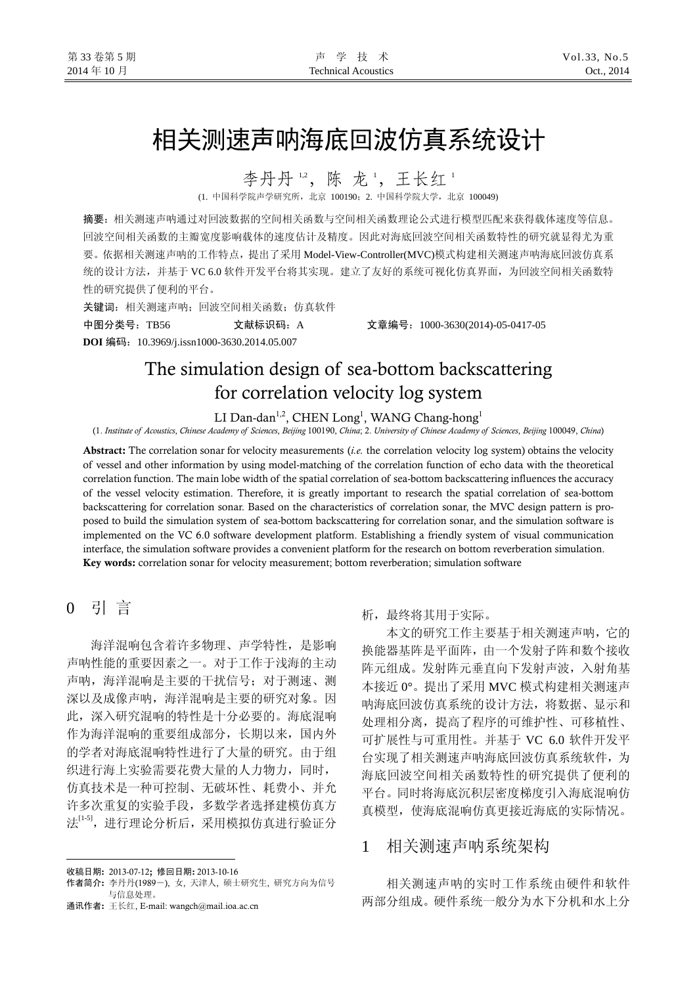# 相关测速声呐海底回波仿真系统设计

李丹丹12,陈龙1,王长红1

(1. 中国科学院声学研究所,北京 100190;2. 中国科学院大学,北京 100049)

摘要:相关测速声呐通过对回波数据的空间相关函数与空间相关函数理论公式进行模型匹配来获得载体速度等信息。 回波空间相关函数的主瓣宽度影响载体的速度估计及精度。因此对海底回波空间相关函数特性的研究就显得尤为重 要。依据相关测速声呐的工作特点,提出了采用 Model-View-Controller(MVC)模式构建相关测速声呐海底回波仿真系 统的设计方法,并基于 VC 6.0 软件开发平台将其实现。建立了友好的系统可视化仿真界面,为回波空间相关函数特 性的研究提供了便利的平台。

关键词:相关测速声呐;回波空间相关函数;仿真软件 中图分类号:TB56 文献标识码:A 文章编号:1000-3630(2014)-05-0417-05

**DOI** 编码:10.3969/j.issn1000-3630.2014.05.007

# The simulation design of sea-bottom backscattering for correlation velocity log system

LI Dan-dan<sup>1,2</sup>, CHEN Long<sup>1</sup>, WANG Chang-hong<sup>1</sup>

(1. *Institute of Acoustics*, *Chinese Academy of Sciences*, *Beijing* 100190, *China*; 2. *University of Chinese Academy of Sciences*, *Beijing* 100049, *China*)

Abstract: The correlation sonar for velocity measurements (*i.e.* the correlation velocity log system) obtains the velocity of vessel and other information by using model-matching of the correlation function of echo data with the theoretical correlation function. The main lobe width of the spatial correlation of sea-bottom backscattering influences the accuracy of the vessel velocity estimation. Therefore, it is greatly important to research the spatial correlation of sea-bottom backscattering for correlation sonar. Based on the characteristics of correlation sonar, the MVC design pattern is proposed to build the simulation system of sea-bottom backscattering for correlation sonar, and the simulation software is implemented on the VC 6.0 software development platform. Establishing a friendly system of visual communication interface, the simulation software provides a convenient platform for the research on bottom reverberation simulation. Key words: correlation sonar for velocity measurement; bottom reverberation; simulation software

# 0 引 言

l

海洋混响包含着许多物理、声学特性,是影响 声呐性能的重要因素之一。对于工作于浅海的主动 声呐,海洋混响是主要的干扰信号:对于测速、测 深以及成像声呐,海洋混响是主要的研究对象。因 此,深入研究混响的特性是十分必要的。海底混响 作为海洋混响的重要组成部分,长期以来,国内外 的学者对海底混响特性进行了大量的研究。由于组 织进行海上实验需要花费大量的人力物力,同时, 仿真技术是一种可控制、无破坏性、耗费小、并允 许多次重复的实验手段,多数学者选择建模仿真方 法[1-5], 进行理论分析后, 采用模拟仿真进行验证分

通讯作者: 王长红, E-mail: wangch@mail.ioa.ac.cn

#### 析,最终将其用于实际。

本文的研究工作主要基于相关测速声呐,它的 换能器基阵是平面阵,由一个发射子阵和数个接收 阵元组成。发射阵元垂直向下发射声波,入射角基 本接近 0°。提出了采用 MVC 模式构建相关测速声 呐海底回波仿真系统的设计方法,将数据、显示和 处理相分离,提高了程序的可维护性、可移植性、 可扩展性与可重用性。并基于 VC 6.0 软件开发平 台实现了相关测速声呐海底回波仿真系统软件,为 海底回波空间相关函数特性的研究提供了便利的 平台。同时将海底沉积层密度梯度引入海底混响仿 真模型,使海底混响仿真更接近海底的实际情况。

# 1相关测速声呐系统架构

相关测速声呐的实时工作系统由硬件和软件 两部分组成。硬件系统一般分为水下分机和水上分

收稿日期: 2013-07-12; 修回日期: 2013-10-16

作者简介: 李丹丹(1989-), 女, 天津人, 硕士研究生, 研究方向为信号 与信息处理。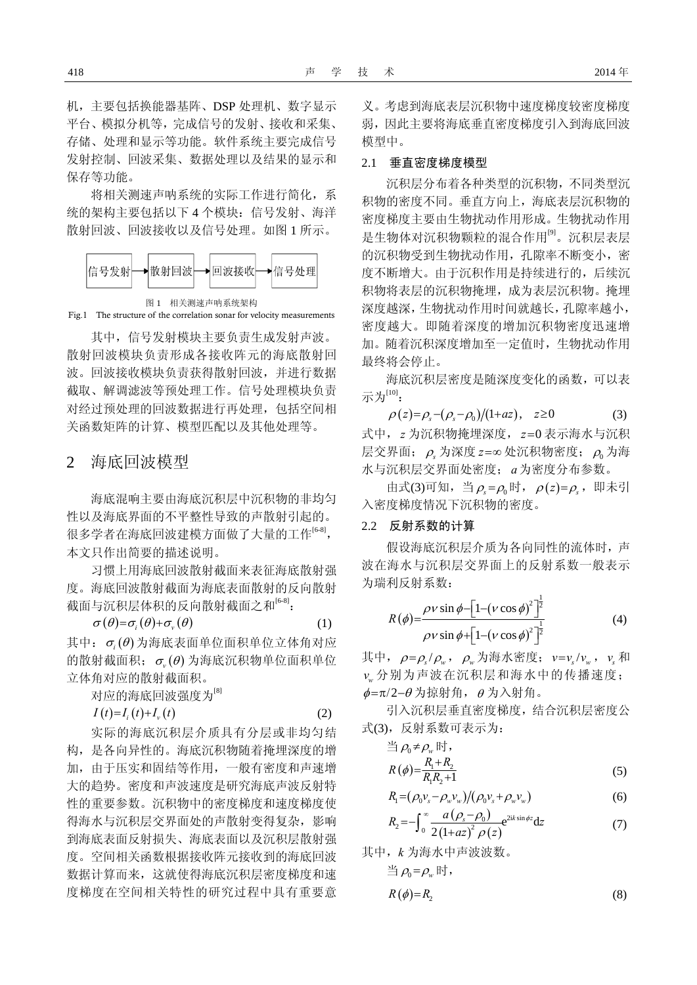机,主要包括换能器基阵、DSP 处理机、数字显示 平台、模拟分机等,完成信号的发射、接收和采集、 存储、处理和显示等功能。软件系统主要完成信号 发射控制、回波采集、数据处理以及结果的显示和 保存等功能。

将相关测速声呐系统的实际工作进行简化,系 统的架构主要包括以下 4 个模块:信号发射、海洋 散射回波、回波接收以及信号处理。如图 1 所示。



Fig.1 The structure of the correlation sonar for velocity measurements

其中,信号发射模块主要负责生成发射声波。 散射回波模块负责形成各接收阵元的海底散射回 波。回波接收模块负责获得散射回波,并进行数据 截取、解调滤波等预处理工作。信号处理模块负责 对经过预处理的回波数据进行再处理,包括空间相 关函数矩阵的计算、模型匹配以及其他处理等。

### 2 海底回波模型

海底混响主要由海底沉积层中沉积物的非均匀 性以及海底界面的不平整性导致的声散射引起的。 很多学者在海底回波建模方面做了大量的工作<sup>[6-8]</sup>, 本文只作出简要的描述说明。

习惯上用海底回波散射截面来表征海底散射强 度。海底回波散射截面为海底表面散射的反向散射 截面与沉积层体积的反向散射截面之和[6-8]:

$$
\sigma(\theta) = \sigma_i(\theta) + \sigma_v(\theta) \tag{1}
$$

其中:  $\sigma_i$ (θ) 为海底表面单位面积单位立体角对应 的散射截面积;  $\sigma_{n}(\theta)$  为海底沉积物单位面积单位 立体角对应的散射截面积。

对应的海底回波强度为[8]

$$
I(t)=I_{i}(t)+I_{\nu}(t)
$$
\n<sup>(2)</sup>

实际的海底沉积层介质具有分层或非均匀结 构,是各向异性的。海底沉积物随着掩埋深度的增 加,由于压实和固结等作用,一般有密度和声速增 大的趋势。密度和声波速度是研究海底声波反射特 性的重要参数。沉积物中的密度梯度和速度梯度使 得海水与沉积层交界面处的声散射变得复杂,影响 到海底表面反射损失、海底表面以及沉积层散射强 度。空间相关函数根据接收阵元接收到的海底回波 数据计算而来,这就使得海底沉积层密度梯度和速 度梯度在空间相关特性的研究过程中具有重要意

义。考虑到海底表层沉积物中速度梯度较密度梯度 弱,因此主要将海底垂直密度梯度引入到海底回波 模型中。

#### 2.1 垂直密度梯度模型

沉积层分布着各种类型的沉积物,不同类型沉 积物的密度不同。垂直方向上,海底表层沉积物的 密度梯度主要由生物扰动作用形成。生物扰动作用 是生物体对沉积物颗粒的混合作用<sup>[9]</sup>。沉积层表层 的沉积物受到生物扰动作用,孔隙率不断变小,密 度不断增大。由于沉积作用是持续进行的,后续沉 积物将表层的沉积物掩埋,成为表层沉积物。掩埋 深度越深,生物扰动作用时间就越长,孔隙率越小, 密度越大。即随着深度的增加沉积物密度迅速增 加。随着沉积深度增加至一定值时,生物扰动作用 最终将会停止。

海底沉积层密度是随深度变化的函数,可以表 示为[10]:

 $\rho(z) = \rho_s - (\rho_s - \rho_0)/(1 + az), \quad z \ge 0$  (3) 式中, z 为沉积物掩埋深度, z=0 表示海水与沉积 层交界面;  $\rho$ <sub>s</sub>为深度 *z*=∞ 处沉积物密度;  $\rho_0$ 为海 水与沉积层交界面处密度; 为密度分布参数。 *a*

由式(3)可知, 当 $\rho_s = \rho_0$ 时,  $\rho(z) = \rho_s$ , 即未引 入密度梯度情况下沉积物的密度。

#### 2.2 反射系数的计算

假设海底沉积层介质为各向同性的流体时,声 波在海水与沉积层交界面上的反射系数一般表示 为瑞利反射系数:

$$
R(\phi) = \frac{\rho v \sin \phi - [1 - (v \cos \phi)^{2}]^{\frac{1}{2}}}{\rho v \sin \phi + [1 - (v \cos \phi)^{2}]^{\frac{1}{2}}}
$$
(4)

其中,  $\rho = \rho_s / \rho_w$ ,  $\rho_w$ 为海水密度;  $v = v_s / v_w$ ,  $v_s$ 和 *vw* 分别为声波在沉积层和海水中的传播速度;  $\phi = \pi/2 - \theta$ 为掠射角, θ 为入射角。

引入沉积层垂直密度梯度,结合沉积层密度公 式(3), 反射系数可表示为:

$$
\stackrel{\text{def}}{=} \rho_0 \neq \rho_w \text{ H},
$$
\n
$$
R(\phi) = \frac{R_1 + R_2}{R_1 R_2 + 1}
$$
\n
$$
(5)
$$

$$
R_{\rm I} = (\rho_0 v_s - \rho_w v_w) / (\rho_0 v_s + \rho_w v_w) \tag{6}
$$

$$
R_2 = -\int_0^\infty \frac{a\left(\rho_s - \rho_0\right)}{2\left(1 + az\right)^2 \rho(z)} e^{2ik\sin\phi z} dz \tag{7}
$$

其中, 
$$
k \, \forall \, \exists \, \rho_0 = \rho_w \, \forall \, f
$$

\n当  $\rho_0 = \rho_w \, \forall f$ 

\n $R(\phi) = R_2$ 

\n(8)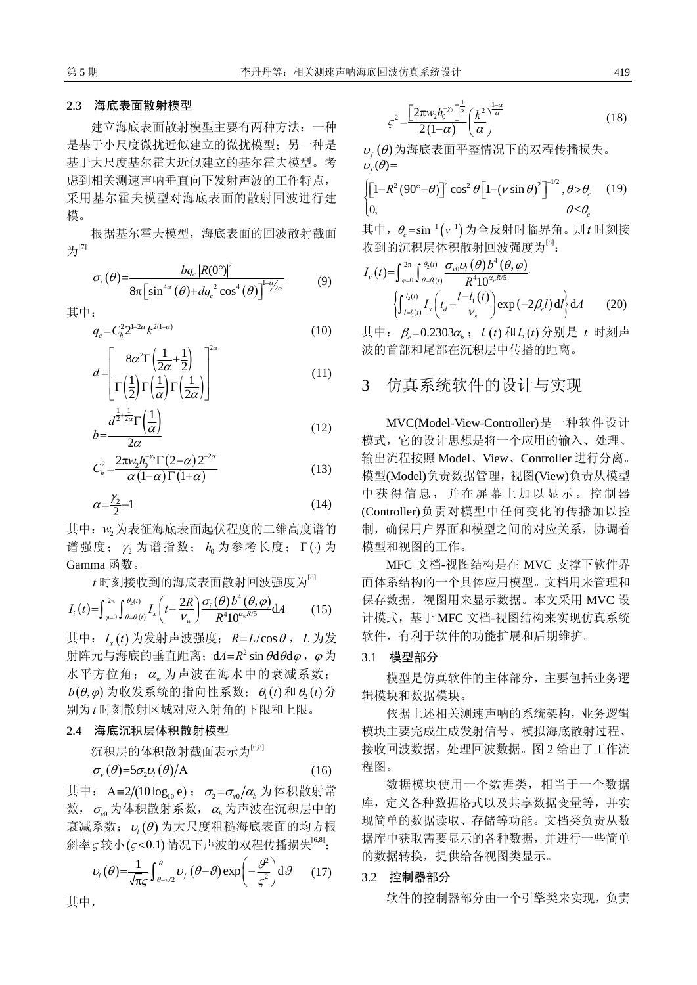#### 2.3 海底表面散射模型

建立海底表面散射模型主要有两种方法:一种 是基于小尺度微扰近似建立的微扰模型;另一种是 基于大尺度基尔霍夫近似建立的基尔霍夫模型。考 虑到相关测速声呐垂直向下发射声波的工作特点, 采用基尔霍夫模型对海底表面的散射回波进行建 模。

根据基尔霍夫模型,海底表面的回波散射截面  $H^{[7]}$ 

$$
\sigma_i(\theta) = \frac{b q_c |R(0^\circ)|^2}{8\pi \left[\sin^{4\alpha}(\theta) + d q_c^2 \cos^4(\theta)\right]^{1+\alpha/2}\qquad(9)}
$$

其中:

$$
q_c = C_h^2 2^{1-2\alpha} k^{2(1-\alpha)}
$$
 (10)

$$
d = \left[ \frac{8\alpha^2 \Gamma \left( \frac{1}{2\alpha} + \frac{1}{2} \right)}{\Gamma \left( \frac{1}{2} \right) \Gamma \left( \frac{1}{\alpha} \right) \Gamma \left( \frac{1}{2\alpha} \right)} \right]^{2\alpha} \tag{11}
$$

$$
b = \frac{d^{\frac{1}{2} + \frac{1}{2\alpha}} \Gamma\left(\frac{1}{\alpha}\right)}{2\alpha} \tag{12}
$$

$$
C_h^2 = \frac{2\pi w_2 h_0^{-\gamma_2} \Gamma(2-\alpha) 2^{-2\alpha}}{\alpha (1-\alpha) \Gamma(1+\alpha)}
$$
(13)

$$
\alpha = \frac{\gamma_2}{2} - 1\tag{14}
$$

其中: w2为表征海底表面起伏程度的二维高度谱的 谱强度; <sup>2</sup> <sup>γ</sup> 为谱指数; 为参考长度; <sup>0</sup> *h* Γ(⋅) 为 Gamma 函数。

*t* 时刻接收到的海底表面散射回波强度为[8]

$$
I_i(t) = \int_{\varphi=0}^{2\pi} \int_{\theta=\theta_i(t)}^{\theta_2(t)} I_x\left(t - \frac{2R}{V_w}\right) \frac{\sigma_i(\theta) b^4(\theta, \varphi)}{R^4 10^{\alpha_w R/5}} dA \tag{15}
$$

其中: ( ) *<sup>x</sup> I t* 为发射声波强度;*R L*= /cos<sup>θ</sup> ,*L* 为发 射阵元与海底的垂直距离;  $dA = R^2 \sin \theta d\theta d\varphi$ ,  $\varphi$  为 水平方位角; α 为声波在海水中的衰减系数;  $b(\theta, \varphi)$  为收发系统的指向性系数;  $\theta_i(t)$  和  $\theta_i(t)$  分 别为 时刻散射区域对应入射角的下限和上限。 *t*

#### 2.4 海底沉积层体积散射模型

其中,

沉积层的体积散射截面表示为[6,8]

$$
\sigma_{\nu}(\theta) = 5\sigma_2 \nu_l(\theta)/A \tag{16}
$$

其中: A=2/(10 log<sub>10</sub> e);  $\sigma_2 = \sigma_{v0}/\alpha_b$  为体积散射常 数,  $\sigma$ <sub>0</sub> 为体积散射系数, α<sub>b</sub> 为声波在沉积层中的 衰减系数;  $u_i$  (θ) 为大尺度粗糙海底表面的均方根 斜率ς较小(ς<0.1) 情况下声波的双程传播损失<sup>[6,8]</sup>:

$$
v_{1}(\theta) = \frac{1}{\sqrt{\pi_{\mathcal{S}}}} \int_{\theta - \pi/2}^{\theta} v_{f}(\theta - \theta) \exp\left(-\frac{\theta^{2}}{\varsigma^{2}}\right) d\theta \qquad (17)
$$

 $(1-\alpha)$  $\int_{2}^{\infty}\left[2\pi w_{2}h_{0}^{-\gamma_{2}}\right]^{\frac{1}{\alpha}}\left(k^{2}\right)^{1/2}$  $2(1)$  $\left[w_2 h_0^{-\gamma_2}\right]^{\frac{1}{\alpha}}\left(k^2\right)^{\frac{1-\alpha}{\alpha}}$  $\varsigma^2 = \frac{\left[2\pi w_2 h_0^{-\gamma_2}\right]^{\frac{1}{\alpha}}}{2(1-\alpha)} \left(\frac{k^2}{\alpha}\right)^{\frac{1}{\alpha}}$ (18)

 $v_{f}(\theta)$ 为海底表面平整情况下的双程传播损失。  $v_f(\theta) =$ 

$$
\begin{cases}\n\left[1 - R^2 (90^\circ - \theta)\right]^2 \cos^2 \theta \left[1 - \left(v \sin \theta\right)^2\right]^{-1/2}, \theta > \theta_c \quad (19) \\
0, \qquad \theta \le \theta_c\n\end{cases}
$$

其中,  $\theta_c = \sin^{-1}(v^{-1})$ 为全反射时临界角。则*t* 时刻接 收到的沉积层体积散射回波强度为<sup>[8]</sup>:

$$
I_{\nu}(t) = \int_{\varphi=0}^{2\pi} \int_{\theta=\theta_{i}(t)}^{\theta_{2}(t)} \frac{\sigma_{\nu_{0}} \nu_{l}(\theta) b^{4}(\theta, \varphi)}{R^{4} 10^{\alpha_{\nu}R/5}} \cdot \left\{ \int_{l=l_{1}(t)}^{l_{2}(t)} I_{x}\left(t_{d} - \frac{l-l_{1}(t)}{\nu_{s}}\right) \exp\left(-2\beta_{e}l\right) \mathrm{d}l \right\} \mathrm{d}A \tag{20}
$$

其中: β<sub>e</sub>=0.2303α<sub>b</sub>; l<sub>1</sub>(t)和l<sub>2</sub>(t)分别是 t 时刻声 波的首部和尾部在沉积层中传播的距离。

## 3 仿真系统软件的设计与实现

MVC(Model-View-Controller)是一种软件设计 模式,它的设计思想是将一个应用的输入、处理、 输出流程按照 Model、View、Controller 进行分离。 模型(Model)负责数据管理,视图(View)负责从模型 中获得信息,并在屏幕上加以显示。控制器 (Controller)负责对模型中任何变化的传播加以控 制,确保用户界面和模型之间的对应关系,协调着 模型和视图的工作。

MFC 文档-视图结构是在 MVC 支撑下软件界 面体系结构的一个具体应用模型。文档用来管理和 保存数据,视图用来显示数据。本文采用 MVC 设 计模式,基于 MFC 文档-视图结构来实现仿真系统 软件,有利于软件的功能扩展和后期维护。

#### 3.1 模型部分

模型是仿真软件的主体部分,主要包括业务逻 辑模块和数据模块。

依据上述相关测速声呐的系统架构,业务逻辑 模块主要完成生成发射信号、模拟海底散射过程、 接收回波数据,处理回波数据。图 2 给出了工作流 程图。

数据模块使用一个数据类,相当于一个数据 库,定义各种数据格式以及共享数据变量等,并实 现简单的数据读取、存储等功能。文档类负责从数 据库中获取需要显示的各种数据,并进行一些简单 的数据转换,提供给各视图类显示。

#### 3.2 控制器部分

软件的控制器部分由一个引擎类来实现,负责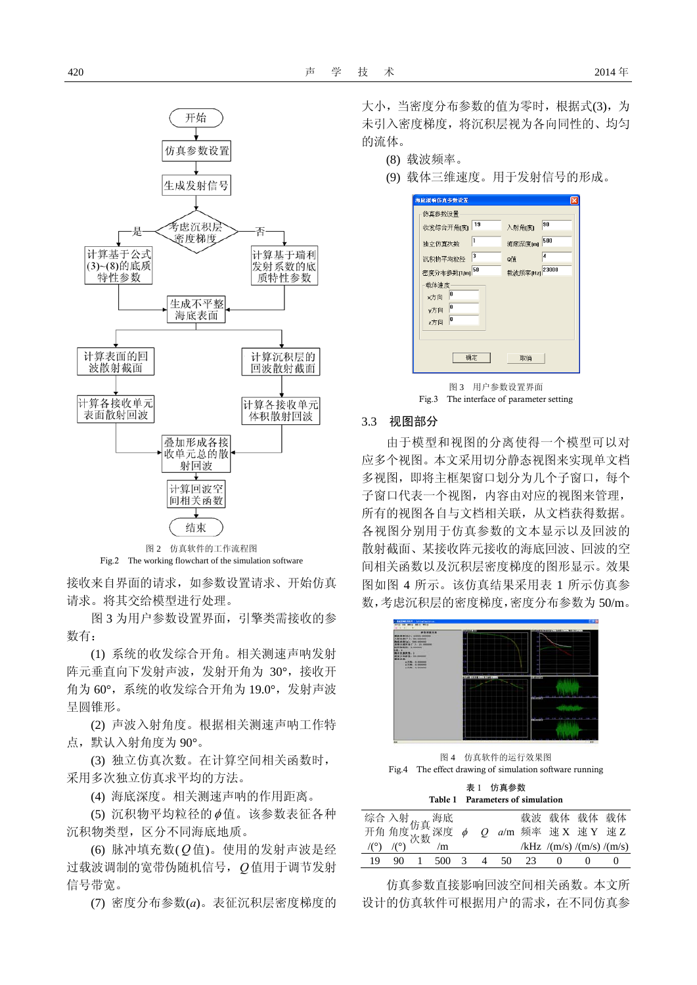

图 2 仿真软件的工作流程图 Fig.2 The working flowchart of the simulation software

接收来自界面的请求,如参数设置请求、开始仿真 请求。将其交给模型进行处理。

图 3 为用户参数设置界面,引擎类需接收的参 数有:

(1) 系统的收发综合开角。相关测速声呐发射 阵元垂直向下发射声波,发射开角为 30°,接收开 角为 60°,系统的收发综合开角为 19.0°,发射声波 呈圆锥形。

(2) 声波入射角度。根据相关测速声呐工作特 点,默认入射角度为 90°。

(3) 独立仿真次数。在计算空间相关函数时, 采用多次独立仿真求平均的方法。

(4) 海底深度。相关测速声呐的作用距离。

(5) 沉积物平均粒径的Φ值。该参数表征各种 沉积物类型,区分不同海底地质。

(6) 脉冲填充数( *Q* 值)。使用的发射声波是经 过载波调制的宽带伪随机信号,*Q*值用于调节发射 信号带宽。

(7) 密度分布参数(*a*)。表征沉积层密度梯度的

大小,当密度分布参数的值为零时,根据式(3),为 未引入密度梯度,将沉积层视为各向同性的、均匀 的流体。

(8) 载波频率。

(9) 载体三维速度。用于发射信号的形成。

| 海底混响仿真参数设置                                |                   |
|-------------------------------------------|-------------------|
| 仿真参数设置                                    |                   |
| 19<br>收发综合开角(度)                           | 90<br>入射角[度]      |
| 1<br>独立仿真次数                               | 500<br>海底深度[m]    |
| 3<br>沉积物平均粒径                              | 4<br>Q值           |
| 50<br>密度分布参数[1/m]                         | 23000<br>载波频率[Hz] |
| 载体速度<br>'n<br>x方向<br>o<br>v方向<br>o<br>z方向 |                   |
| 确定                                        | 取消                |
| 冬 3                                       | 用户参数设置界面          |

#### 3.3 视图部分

由于模型和视图的分离使得一个模型可以对 应多个视图。本文采用切分静态视图来实现单文档 多视图, 即将主框架窗口划分为几个子窗口, 每个 子窗口代表一个视图,内容由对应的视图来管理, 所有的视图各自与文档相关联,从文档获得数据。 各视图分别用于仿真参数的文本显示以及回波的 散射截面、某接收阵元接收的海底回波、回波的空 间相关函数以及沉积层密度梯度的图形显示。效果 图如图 4 所示。该仿真结果采用表 1 所示仿真参 数,考虑沉积层的密度梯度,密度分布参数为50/m。



图 4 仿真软件的运行效果图 Fig.4 The effect drawing of simulation software running

| Table 1 Parameters of simulation |
|----------------------------------|
| 表 1 仿真参数                         |

|  |  |  |  | 载波 载体 载体 载体                                                                                                                                                           |  |
|--|--|--|--|-----------------------------------------------------------------------------------------------------------------------------------------------------------------------|--|
|  |  |  |  | 综合 入射 <sub>仿真</sub> 海底       载波 载体 载体 载体<br>开角 角度 次数 深度 <i>φ  Q  a</i> /m 频率 速 <b>X</b> 速 <b>Y</b> 速 <b>Z</b><br>/(°)  /(°)  /m             /kHz /(m/s) /(m/s) /(m/s) |  |
|  |  |  |  | /kHz $/(m/s)/(m/s)/(m/s)$                                                                                                                                             |  |
|  |  |  |  | 19 90 1 500 3 4 50 23 0 0                                                                                                                                             |  |

仿真参数直接影响回波空间相关函数。本文所 设计的仿真软件可根据用户的需求,在不同仿真参

Fig.3 The interface of parameter setting